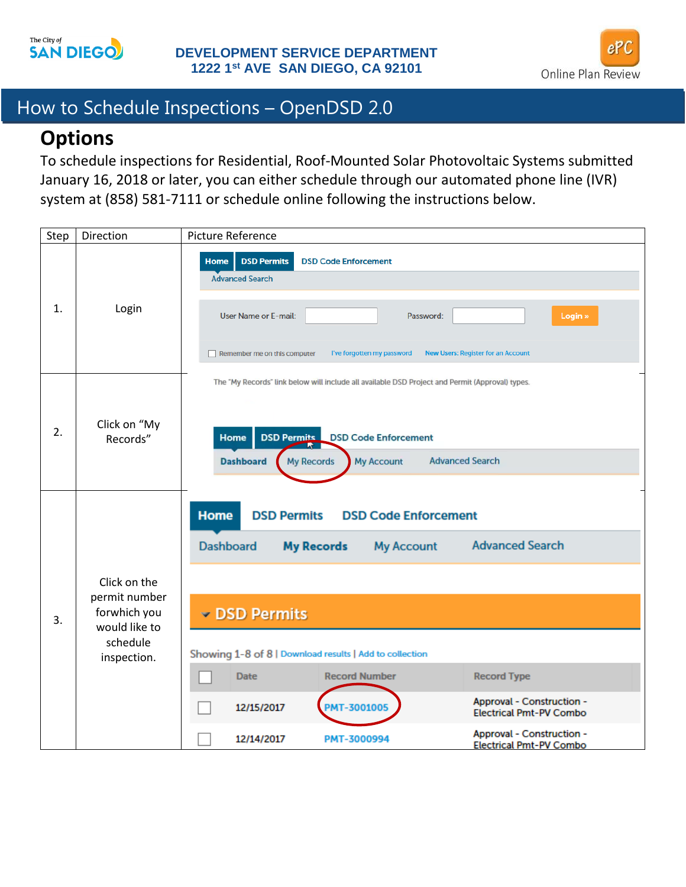



# How to Schedule Inspections – OpenDSD 2.0

### **Options**

To schedule inspections for Residential, Roof-Mounted Solar Photovoltaic Systems submitted January 16, 2018 or later, you can either schedule through our automated phone line (IVR) system at (858) 581-7111 or schedule online following the instructions below.

| Step | Direction                                                                                 | Picture Reference                                                                                                                                                                                                                                                                                                                                                                                                                                                                              |
|------|-------------------------------------------------------------------------------------------|------------------------------------------------------------------------------------------------------------------------------------------------------------------------------------------------------------------------------------------------------------------------------------------------------------------------------------------------------------------------------------------------------------------------------------------------------------------------------------------------|
| 1.   | Login                                                                                     | <b>DSD Permits</b><br>Home<br><b>DSD Code Enforcement</b><br><b>Advanced Search</b><br><b>User Name or E-mail:</b><br>Login »<br>Password:<br>I've forgotten my password<br><b>New Users: Register for an Account</b><br>Remember me on this computer                                                                                                                                                                                                                                          |
| 2.   | Click on "My<br>Records"                                                                  | The "My Records" link below will include all available DSD Project and Permit (Approval) types.<br><b>DSD Permits</b> DSD Code Enforcement<br>Home<br><b>Dashboard</b><br><b>Advanced Search</b><br><b>My Records</b><br><b>My Account</b>                                                                                                                                                                                                                                                     |
| 3.   | Click on the<br>permit number<br>forwhich you<br>would like to<br>schedule<br>inspection. | <b>Home</b><br><b>DSD Permits</b><br><b>DSD Code Enforcement</b><br><b>Advanced Search</b><br><b>Dashboard</b><br><b>My Records</b><br><b>My Account</b><br>DSD Permits<br>Showing 1-8 of 8   Download results   Add to collection<br><b>Record Number</b><br><b>Record Type</b><br><b>Date</b><br>Approval - Construction -<br><b>PMT-3001005</b><br>12/15/2017<br><b>Electrical Pmt-PV Combo</b><br>Approval - Construction -<br>12/14/2017<br>PMT-3000994<br><b>Electrical Pmt-PV Combo</b> |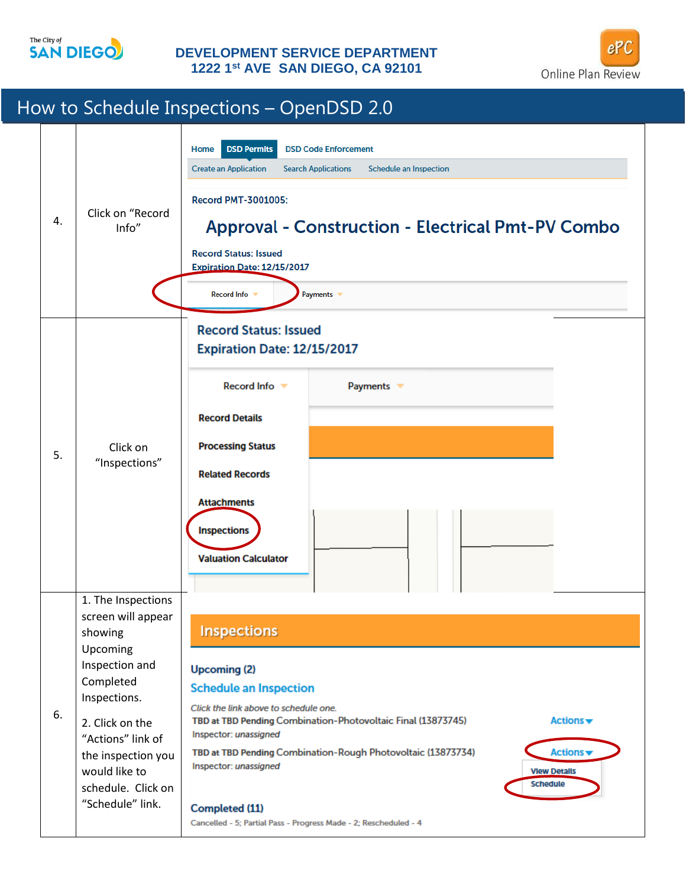

#### **DEVELOPMENT SERVICE DEPARTMENT 1222 1st AVE SAN DIEGO, CA 92101**



## How to Schedule Inspections – OpenDSD 2.0

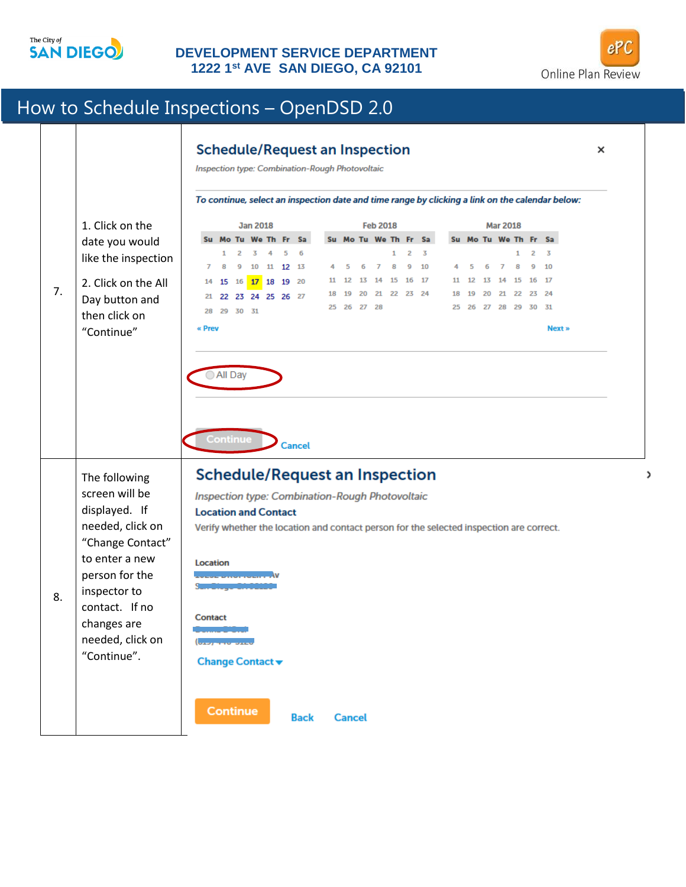

### **DEVELOPMENT SERVICE DEPARTMENT 1222 1st AVE SAN DIEGO, CA 92101**



,

# How to Schedule Inspections – OpenDSD 2.0

| 7. | 1. Click on the<br>date you would<br>like the inspection<br>2. Click on the All<br>Day button and<br>then click on<br>"Continue"                                                                  | To continue, select an inspection date and time range by clicking a link on the calendar below:                                                                                                                                                                                                                                                                                                                                                                                                                                                                                                                                                            |  |  |
|----|---------------------------------------------------------------------------------------------------------------------------------------------------------------------------------------------------|------------------------------------------------------------------------------------------------------------------------------------------------------------------------------------------------------------------------------------------------------------------------------------------------------------------------------------------------------------------------------------------------------------------------------------------------------------------------------------------------------------------------------------------------------------------------------------------------------------------------------------------------------------|--|--|
|    |                                                                                                                                                                                                   | <b>Jan 2018</b><br><b>Feb 2018</b><br><b>Mar 2018</b><br>Su Mo Tu We Th Fr Sa<br>Su Mo Tu We Th Fr Sa<br>Su Mo Tu We Th Fr Sa<br>2<br>$\overline{3}$<br>2<br>3<br>1<br>2<br>5<br>6<br>1<br>3<br>1<br>11 12 13<br>$\overline{I}$<br>10<br>8<br>9<br>10<br>6<br>8<br>9<br>5<br>6<br>7<br>8<br>9<br>10<br>$\overline{7}$<br>5<br>4<br>14 15 16<br>17<br>17<br>15 16 17 18 19 20<br>12<br>13<br>11 12<br>13<br>14<br>15<br>16<br>11<br>14<br>21 22 23 24<br>24<br>19<br>20<br>18 19<br>20<br>21<br>22<br>23<br>22 23 24 25 26 27<br>21<br>25 26 27 28<br>25  26  27  28  29  30  31<br>28 29 30 31<br>« Prev<br>Next »<br>All Day<br>Continue<br><b>Cancel</b> |  |  |
| 8. | The following<br>screen will be<br>displayed. If<br>needed, click on<br>"Change Contact"<br>to enter a new<br>person for the<br>inspector to<br>contact. If no<br>changes are<br>needed, click on | <b>Schedule/Request an Inspection</b><br>Inspection type: Combination-Rough Photovoltaic<br><b>Location and Contact</b><br>Verify whether the location and contact person for the selected inspection are correct.<br>Location<br>Contact<br>بخصص بالمراجعة                                                                                                                                                                                                                                                                                                                                                                                                |  |  |